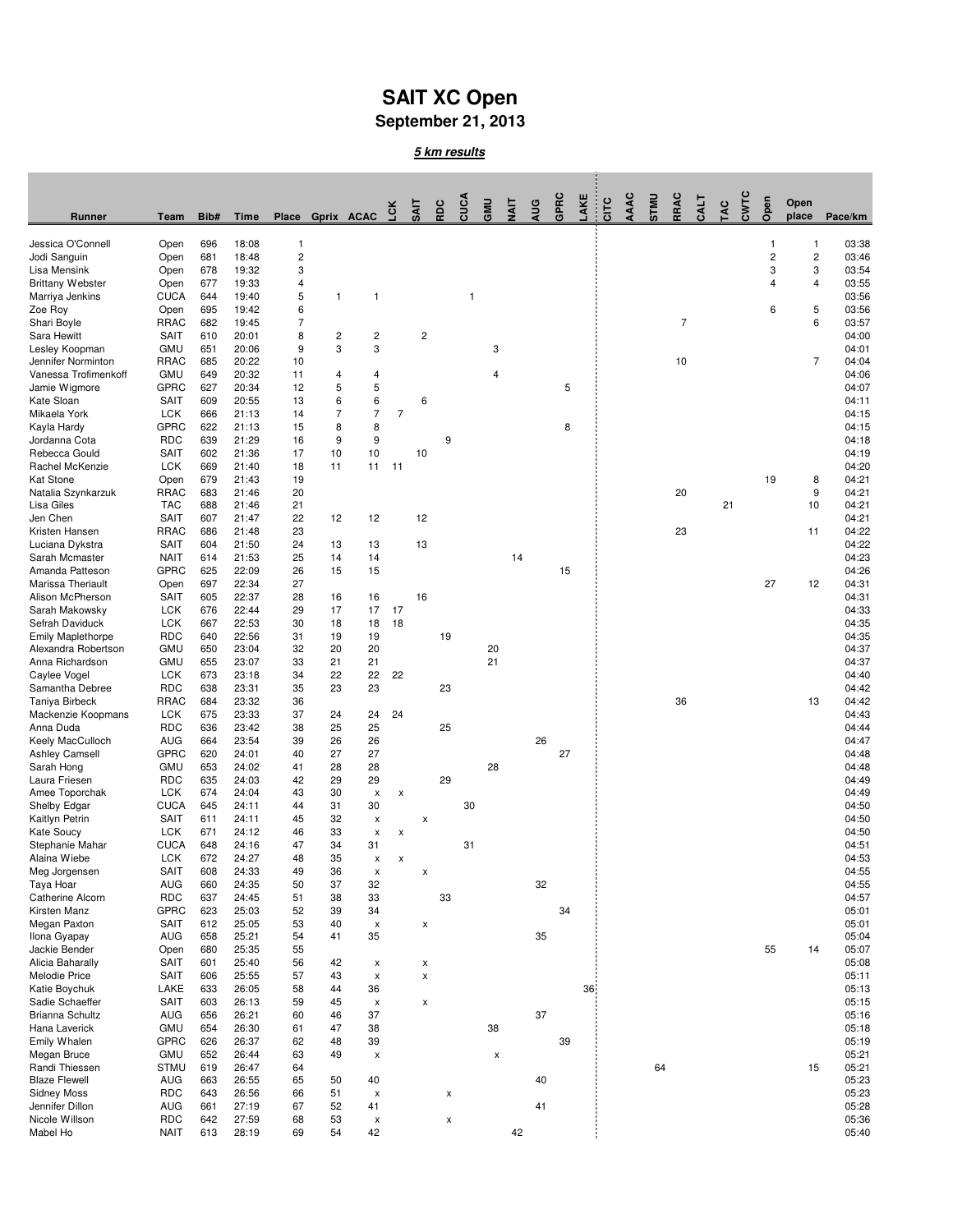## **SAIT XC Open**

**September 21, 2013**

**5 km results**

| Runner                                      | Team                      | Bib#       | Time           |                         | Place Gprix ACAC        |                          | Γcκ            | <b>SAIT</b> | RDC | CUCA                    | GMU | $\frac{1}{2}$ | AUG | GPRC | AKE | CITC | AAAC | <b>UNLS</b> | RRAC           | CALT | TAC | CWTC | Open           | Open<br>place           | Pace/km        |
|---------------------------------------------|---------------------------|------------|----------------|-------------------------|-------------------------|--------------------------|----------------|-------------|-----|-------------------------|-----|---------------|-----|------|-----|------|------|-------------|----------------|------|-----|------|----------------|-------------------------|----------------|
| Jessica O'Connell                           | Open                      | 696        | 18:08          | 1                       |                         |                          |                |             |     |                         |     |               |     |      |     |      |      |             |                |      |     |      | $\overline{1}$ | 1                       | 03:38          |
| Jodi Sanguin                                | Open                      | 681        | 18:48          | $\overline{\mathbf{c}}$ |                         |                          |                |             |     |                         |     |               |     |      |     |      |      |             |                |      |     |      | $\sqrt{2}$     | $\overline{\mathbf{c}}$ | 03:46          |
| Lisa Mensink                                | Open                      | 678        | 19:32          | 3                       |                         |                          |                |             |     |                         |     |               |     |      |     |      |      |             |                |      |     |      | 3              | 3                       | 03:54          |
| <b>Brittany Webster</b>                     | Open                      | 677        | 19:33          | 4                       |                         |                          |                |             |     |                         |     |               |     |      |     |      |      |             |                |      |     |      | 4              | 4                       | 03:55          |
| Marriya Jenkins                             | <b>CUCA</b>               | 644<br>695 | 19:40<br>19:42 | 5<br>6                  | $\mathbf{1}$            | $\mathbf{1}$             |                |             |     | $\overline{\mathbf{1}}$ |     |               |     |      |     |      |      |             |                |      |     |      | 6              |                         | 03:56<br>03:56 |
| Zoe Roy<br>Shari Boyle                      | Open<br>RRAC              | 682        | 19:45          | $\overline{7}$          |                         |                          |                |             |     |                         |     |               |     |      |     |      |      |             | $\overline{7}$ |      |     |      |                | 5<br>6                  | 03:57          |
| Sara Hewitt                                 | <b>SAIT</b>               | 610        | 20:01          | 8                       | $\overline{\mathbf{c}}$ | $\overline{c}$           |                | $\mathbf 2$ |     |                         |     |               |     |      |     |      |      |             |                |      |     |      |                |                         | 04:00          |
| Lesley Koopman                              | GMU                       | 651        | 20:06          | 9                       | 3                       | 3                        |                |             |     |                         | 3   |               |     |      |     |      |      |             |                |      |     |      |                |                         | 04:01          |
| Jennifer Norminton                          | RRAC                      | 685        | 20:22          | 10                      |                         |                          |                |             |     |                         |     |               |     |      |     |      |      |             | 10             |      |     |      |                | 7                       | 04:04          |
| Vanessa Trofimenkoff                        | <b>GMU</b>                | 649        | 20:32          | 11                      | 4                       | 4                        |                |             |     |                         | 4   |               |     |      |     |      |      |             |                |      |     |      |                |                         | 04:06          |
| Jamie Wigmore                               | <b>GPRC</b>               | 627        | 20:34          | 12                      | 5                       | 5                        |                |             |     |                         |     |               |     | 5    |     |      |      |             |                |      |     |      |                |                         | 04:07          |
| Kate Sloan                                  | <b>SAIT</b>               | 609        | 20:55          | 13                      | 6                       | 6                        |                | 6           |     |                         |     |               |     |      |     |      |      |             |                |      |     |      |                |                         | 04:11          |
| Mikaela York                                | <b>LCK</b>                | 666        | 21:13          | 14                      | $\overline{7}$          | $\overline{7}$           | $\overline{7}$ |             |     |                         |     |               |     |      |     |      |      |             |                |      |     |      |                |                         | 04:15          |
| Kayla Hardy                                 | <b>GPRC</b>               | 622        | 21:13          | 15                      | 8                       | 8                        |                |             |     |                         |     |               |     | 8    |     |      |      |             |                |      |     |      |                |                         | 04:15          |
| Jordanna Cota<br>Rebecca Gould              | <b>RDC</b><br><b>SAIT</b> | 639<br>602 | 21:29<br>21:36 | 16<br>17                | 9<br>10                 | 9<br>10                  |                | 10          | 9   |                         |     |               |     |      |     |      |      |             |                |      |     |      |                |                         | 04:18<br>04:19 |
| Rachel McKenzie                             | <b>LCK</b>                | 669        | 21:40          | 18                      | 11                      | 11                       | 11             |             |     |                         |     |               |     |      |     |      |      |             |                |      |     |      |                |                         | 04:20          |
| <b>Kat Stone</b>                            | Open                      | 679        | 21:43          | 19                      |                         |                          |                |             |     |                         |     |               |     |      |     |      |      |             |                |      |     |      | 19             | 8                       | 04:21          |
| Natalia Szynkarzuk                          | <b>RRAC</b>               | 683        | 21:46          | 20                      |                         |                          |                |             |     |                         |     |               |     |      |     |      |      |             | 20             |      |     |      |                | 9                       | 04:21          |
| Lisa Giles                                  | <b>TAC</b>                | 688        | 21:46          | 21                      |                         |                          |                |             |     |                         |     |               |     |      |     |      |      |             |                |      | 21  |      |                | 10                      | 04:21          |
| Jen Chen                                    | <b>SAIT</b>               | 607        | 21:47          | 22                      | 12                      | 12                       |                | 12          |     |                         |     |               |     |      |     |      |      |             |                |      |     |      |                |                         | 04:21          |
| Kristen Hansen                              | <b>RRAC</b>               | 686        | 21:48          | 23                      |                         |                          |                |             |     |                         |     |               |     |      |     |      |      |             | 23             |      |     |      |                | 11                      | 04:22          |
| Luciana Dykstra                             | <b>SAIT</b>               | 604        | 21:50          | 24                      | 13                      | 13                       |                | 13          |     |                         |     |               |     |      |     |      |      |             |                |      |     |      |                |                         | 04:22          |
| Sarah Mcmaster                              | <b>NAIT</b>               | 614        | 21:53          | 25                      | 14                      | 14                       |                |             |     |                         |     | 14            |     |      |     |      |      |             |                |      |     |      |                |                         | 04:23          |
| Amanda Patteson                             | <b>GPRC</b>               | 625        | 22:09          | 26                      | 15                      | 15                       |                |             |     |                         |     |               |     | 15   |     |      |      |             |                |      |     |      |                |                         | 04:26          |
| Marissa Theriault                           | Open                      | 697        | 22:34          | 27                      |                         |                          |                |             |     |                         |     |               |     |      |     |      |      |             |                |      |     |      | 27             | 12                      | 04:31          |
| Alison McPherson                            | <b>SAIT</b>               | 605        | 22:37          | 28                      | 16                      | 16                       |                | 16          |     |                         |     |               |     |      |     |      |      |             |                |      |     |      |                |                         | 04:31          |
| Sarah Makowsky                              | <b>LCK</b>                | 676        | 22:44<br>22:53 | 29                      | 17                      | 17                       | 17             |             |     |                         |     |               |     |      |     |      |      |             |                |      |     |      |                |                         | 04:33<br>04:35 |
| Sefrah Daviduck<br><b>Emily Maplethorpe</b> | <b>LCK</b><br><b>RDC</b>  | 667<br>640 | 22:56          | 30<br>31                | 18<br>19                | 18<br>19                 | 18             |             | 19  |                         |     |               |     |      |     |      |      |             |                |      |     |      |                |                         | 04:35          |
| Alexandra Robertson                         | <b>GMU</b>                | 650        | 23:04          | 32                      | 20                      | 20                       |                |             |     |                         | 20  |               |     |      |     |      |      |             |                |      |     |      |                |                         | 04:37          |
| Anna Richardson                             | <b>GMU</b>                | 655        | 23:07          | 33                      | 21                      | 21                       |                |             |     |                         | 21  |               |     |      |     |      |      |             |                |      |     |      |                |                         | 04:37          |
| Caylee Vogel                                | <b>LCK</b>                | 673        | 23:18          | 34                      | 22                      | 22                       | 22             |             |     |                         |     |               |     |      |     |      |      |             |                |      |     |      |                |                         | 04:40          |
| Samantha Debree                             | <b>RDC</b>                | 638        | 23:31          | 35                      | 23                      | 23                       |                |             | 23  |                         |     |               |     |      |     |      |      |             |                |      |     |      |                |                         | 04:42          |
| Taniya Birbeck                              | <b>RRAC</b>               | 684        | 23:32          | 36                      |                         |                          |                |             |     |                         |     |               |     |      |     |      |      |             | 36             |      |     |      |                | 13                      | 04:42          |
| Mackenzie Koopmans                          | <b>LCK</b>                | 675        | 23:33          | 37                      | 24                      | 24                       | 24             |             |     |                         |     |               |     |      |     |      |      |             |                |      |     |      |                |                         | 04:43          |
| Anna Duda                                   | <b>RDC</b>                | 636        | 23:42          | 38                      | 25                      | 25                       |                |             | 25  |                         |     |               |     |      |     |      |      |             |                |      |     |      |                |                         | 04:44          |
| Keely MacCulloch                            | AUG                       | 664        | 23:54          | 39                      | 26                      | 26                       |                |             |     |                         |     |               | 26  |      |     |      |      |             |                |      |     |      |                |                         | 04:47          |
| <b>Ashley Camsell</b>                       | <b>GPRC</b><br><b>GMU</b> | 620        | 24:01          | 40                      | 27<br>28                | 27<br>28                 |                |             |     |                         | 28  |               |     | 27   |     |      |      |             |                |      |     |      |                |                         | 04:48<br>04:48 |
| Sarah Hong<br>Laura Friesen                 | <b>RDC</b>                | 653<br>635 | 24:02<br>24:03 | 41<br>42                | 29                      | 29                       |                |             | 29  |                         |     |               |     |      |     |      |      |             |                |      |     |      |                |                         | 04:49          |
| Amee Toporchak                              | <b>LCK</b>                | 674        | 24:04          | 43                      | 30                      | $\pmb{\mathsf{x}}$       | X              |             |     |                         |     |               |     |      |     |      |      |             |                |      |     |      |                |                         | 04:49          |
| Shelby Edgar                                | <b>CUCA</b>               | 645        | 24:11          | 44                      | 31                      | 30                       |                |             |     | 30                      |     |               |     |      |     |      |      |             |                |      |     |      |                |                         | 04:50          |
| Kaitlyn Petrin                              | <b>SAIT</b>               | 611        | 24:11          | 45                      | 32                      | $\pmb{\times}$           |                | X           |     |                         |     |               |     |      |     |      |      |             |                |      |     |      |                |                         | 04:50          |
| <b>Kate Soucy</b>                           | <b>LCK</b>                | 671        | 24:12          | 46                      | 33                      | х                        | х              |             |     |                         |     |               |     |      |     |      |      |             |                |      |     |      |                |                         | 04:50          |
| Stephanie Mahar                             | <b>CUCA</b>               | 648        | 24:16          | 47                      | 34                      | 31                       |                |             |     | 31                      |     |               |     |      |     |      |      |             |                |      |     |      |                |                         | 04:51          |
| Alaina Wiebe                                | <b>LCK</b>                | 672        | 24:27          | 48                      | 35                      | x                        | x              |             |     |                         |     |               |     |      |     |      |      |             |                |      |     |      |                |                         | 04:53          |
| Meg Jorgensen                               | <b>SAIT</b>               | 608        | 24:33          | 49                      | 36                      | x                        |                | Χ           |     |                         |     |               |     |      |     |      |      |             |                |      |     |      |                |                         | 04:55          |
| Taya Hoar                                   | AUG                       | 660        | 24:35          | 50                      | 37                      | 32                       |                |             |     |                         |     |               | 32  |      |     |      |      |             |                |      |     |      |                |                         | 04:55          |
| Catherine Alcorn                            | <b>RDC</b>                | 637        | 24:45          | 51                      | 38                      | 33                       |                |             | 33  |                         |     |               |     |      |     |      |      |             |                |      |     |      |                |                         | 04:57          |
| Kirsten Manz<br>Megan Paxton                | <b>GPRC</b>               | 623        | 25:03          | 52                      | 39                      | 34                       |                |             |     |                         |     |               |     | 34   |     |      |      |             |                |      |     |      |                |                         | 05:01          |
| Ilona Gyapay                                | <b>SAIT</b><br><b>AUG</b> | 612<br>658 | 25:05<br>25:21 | 53<br>54                | 40<br>41                | $\pmb{\mathsf{x}}$<br>35 |                | X           |     |                         |     |               | 35  |      |     |      |      |             |                |      |     |      |                |                         | 05:01<br>05:04 |
| Jackie Bender                               | Open                      | 680        | 25:35          | 55                      |                         |                          |                |             |     |                         |     |               |     |      |     |      |      |             |                |      |     |      | 55             | 14                      | 05:07          |
| Alicia Baharally                            | <b>SAIT</b>               | 601        | 25:40          | 56                      | 42                      | x                        |                | Χ           |     |                         |     |               |     |      |     |      |      |             |                |      |     |      |                |                         | 05:08          |
| Melodie Price                               | <b>SAIT</b>               | 606        | 25:55          | 57                      | 43                      | $\pmb{\times}$           |                | X           |     |                         |     |               |     |      |     |      |      |             |                |      |     |      |                |                         | 05:11          |
| Katie Boychuk                               | LAKE                      | 633        | 26:05          | 58                      | 44                      | 36                       |                |             |     |                         |     |               |     |      | 36  |      |      |             |                |      |     |      |                |                         | 05:13          |
| Sadie Schaeffer                             | <b>SAIT</b>               | 603        | 26:13          | 59                      | 45                      | X                        |                | X           |     |                         |     |               |     |      |     |      |      |             |                |      |     |      |                |                         | 05:15          |
| Brianna Schultz                             | AUG                       | 656        | 26:21          | 60                      | 46                      | 37                       |                |             |     |                         |     |               | 37  |      |     |      |      |             |                |      |     |      |                |                         | 05:16          |
| Hana Laverick                               | <b>GMU</b>                | 654        | 26:30          | 61                      | 47                      | 38                       |                |             |     |                         | 38  |               |     |      |     |      |      |             |                |      |     |      |                |                         | 05:18          |
| Emily Whalen                                | <b>GPRC</b>               | 626        | 26:37          | 62                      | 48                      | 39                       |                |             |     |                         |     |               |     | 39   |     |      |      |             |                |      |     |      |                |                         | 05:19          |
| Megan Bruce                                 | <b>GMU</b>                | 652        | 26:44          | 63                      | 49                      | $\pmb{\times}$           |                |             |     |                         | X   |               |     |      |     |      |      |             |                |      |     |      |                |                         | 05:21          |
| Randi Thiessen                              | <b>STMU</b>               | 619        | 26:47          | 64                      |                         |                          |                |             |     |                         |     |               |     |      |     |      |      | 64          |                |      |     |      |                | 15                      | 05:21          |
| <b>Blaze Flewell</b>                        | AUG                       | 663        | 26:55          | 65                      | 50                      | 40                       |                |             |     |                         |     |               | 40  |      |     |      |      |             |                |      |     |      |                |                         | 05:23          |
| <b>Sidney Moss</b><br>Jennifer Dillon       | <b>RDC</b><br>AUG         | 643<br>661 | 26:56<br>27:19 | 66<br>67                | 51<br>52                | $\pmb{\times}$<br>41     |                |             | x   |                         |     |               | 41  |      |     |      |      |             |                |      |     |      |                |                         | 05:23<br>05:28 |
| Nicole Willson                              | <b>RDC</b>                | 642        | 27:59          | 68                      | 53                      | $\pmb{\mathsf{x}}$       |                |             | x   |                         |     |               |     |      |     |      |      |             |                |      |     |      |                |                         | 05:36          |
| Mabel Ho                                    | <b>NAIT</b>               | 613        | 28:19          | 69                      | 54                      | 42                       |                |             |     |                         |     | 42            |     |      |     |      |      |             |                |      |     |      |                |                         | 05:40          |